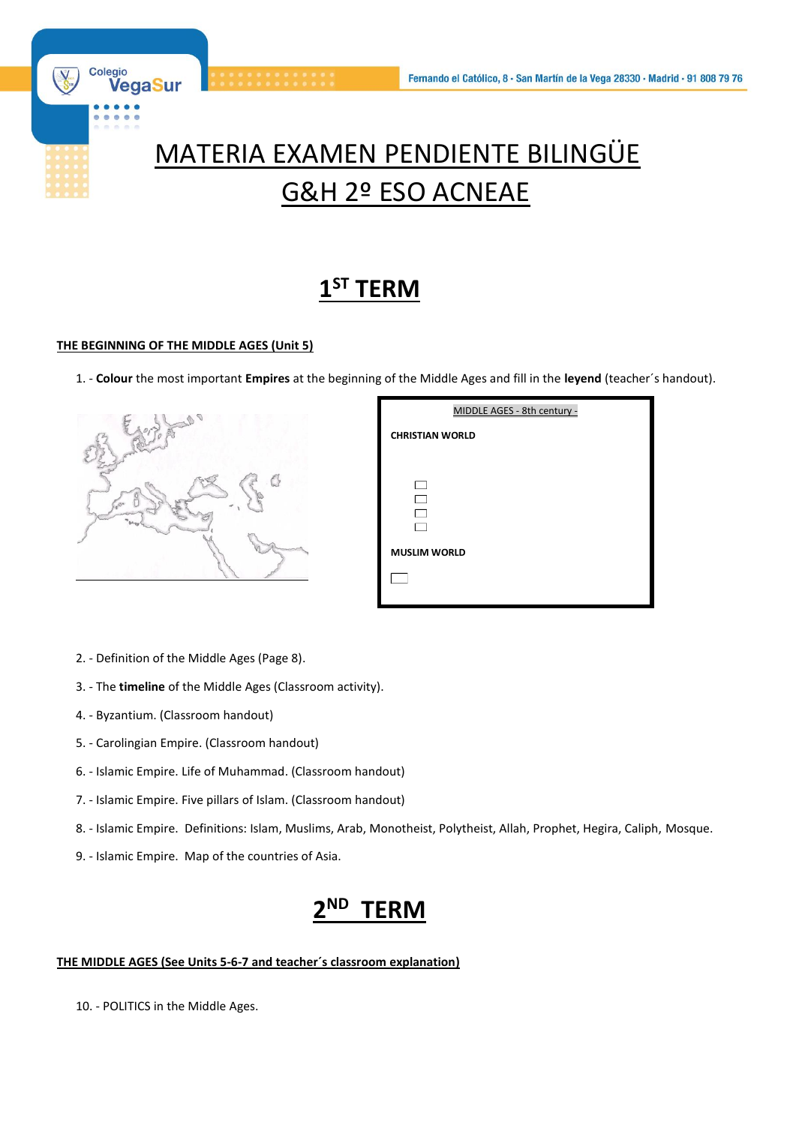

# MATERIA EXAMEN PENDIENTE BILINGÜE G&H 2º ESO ACNEAE

## **1 ST TERM**

### **THE BEGINNING OF THE MIDDLE AGES (Unit 5)**

1. - **Colour** the most important **Empires** at the beginning of the Middle Ages and fill in the **leyend** (teacher´s handout).



| MIDDLE AGES - 8th century - |
|-----------------------------|
| <b>CHRISTIAN WORLD</b>      |
|                             |
|                             |
|                             |
|                             |
| <b>MUSLIM WORLD</b>         |
|                             |
|                             |

- 2. Definition of the Middle Ages (Page 8).
- 3. The **timeline** of the Middle Ages (Classroom activity).
- 4. Byzantium. (Classroom handout)
- 5. Carolingian Empire. (Classroom handout)
- 6. Islamic Empire. Life of Muhammad. (Classroom handout)
- 7. Islamic Empire. Five pillars of Islam. (Classroom handout)
- 8. Islamic Empire. Definitions: Islam, Muslims, Arab, Monotheist, Polytheist, Allah, Prophet, Hegira, Caliph, Mosque.
- 9. Islamic Empire. Map of the countries of Asia.

#### **2 ND TERM**

#### **THE MIDDLE AGES (See Units 5-6-7 and teacher´s classroom explanation)**

10. - POLITICS in the Middle Ages.